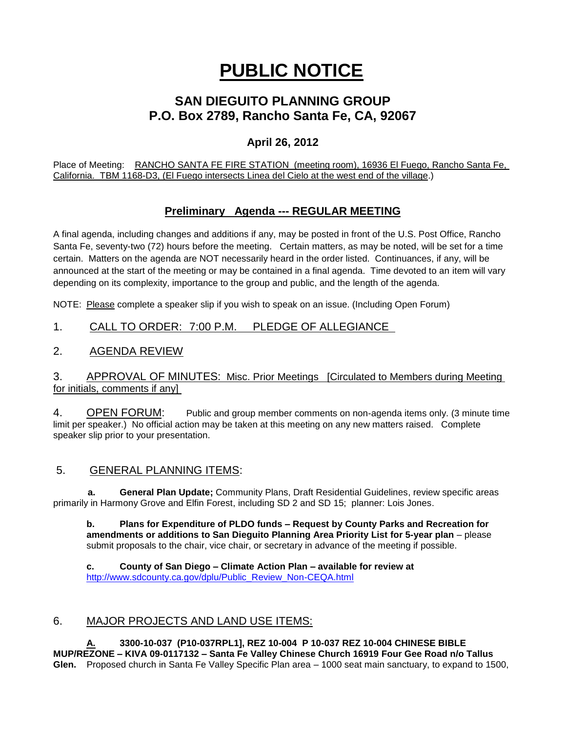# **PUBLIC NOTICE**

# **SAN DIEGUITO PLANNING GROUP P.O. Box 2789, Rancho Santa Fe, CA, 92067**

# **April 26, 2012**

Place of Meeting: RANCHO SANTA FE FIRE STATION (meeting room), 16936 El Fuego, Rancho Santa Fe, California. TBM 1168-D3, (El Fuego intersects Linea del Cielo at the west end of the village.)

# **Preliminary Agenda --- REGULAR MEETING**

A final agenda, including changes and additions if any, may be posted in front of the U.S. Post Office, Rancho Santa Fe, seventy-two (72) hours before the meeting. Certain matters, as may be noted, will be set for a time certain. Matters on the agenda are NOT necessarily heard in the order listed. Continuances, if any, will be announced at the start of the meeting or may be contained in a final agenda. Time devoted to an item will vary depending on its complexity, importance to the group and public, and the length of the agenda.

NOTE: Please complete a speaker slip if you wish to speak on an issue. (Including Open Forum)

# 1. CALL TO ORDER: 7:00 P.M. PLEDGE OF ALLEGIANCE

### 2. AGENDA REVIEW

#### 3. APPROVAL OF MINUTES: Misc. Prior Meetings [Circulated to Members during Meeting for initials, comments if any]

4. OPEN FORUM: Public and group member comments on non-agenda items only. (3 minute time limit per speaker.) No official action may be taken at this meeting on any new matters raised. Complete speaker slip prior to your presentation.

#### 5. GENERAL PLANNING ITEMS:

 **a. General Plan Update;** Community Plans, Draft Residential Guidelines, review specific areas primarily in Harmony Grove and Elfin Forest, including SD 2 and SD 15; planner: Lois Jones.

**b. Plans for Expenditure of PLDO funds – Request by County Parks and Recreation for amendments or additions to San Dieguito Planning Area Priority List for 5-year plan** – please submit proposals to the chair, vice chair, or secretary in advance of the meeting if possible.

**c. County of San Diego – Climate Action Plan – available for review at**  [http://www.sdcounty.ca.gov/dplu/Public\\_Review\\_Non-CEQA.html](http://www.sdcounty.ca.gov/dplu/Public_Review_Non-CEQA.html)

# 6. MAJOR PROJECTS AND LAND USE ITEMS:

**A. 3300-10-037 (P10-037RPL1], REZ 10-004 P 10-037 REZ 10-004 CHINESE BIBLE MUP/REZONE – KIVA 09-0117132 – Santa Fe Valley Chinese Church 16919 Four Gee Road n/o Tallus Glen.** Proposed church in Santa Fe Valley Specific Plan area – 1000 seat main sanctuary, to expand to 1500,